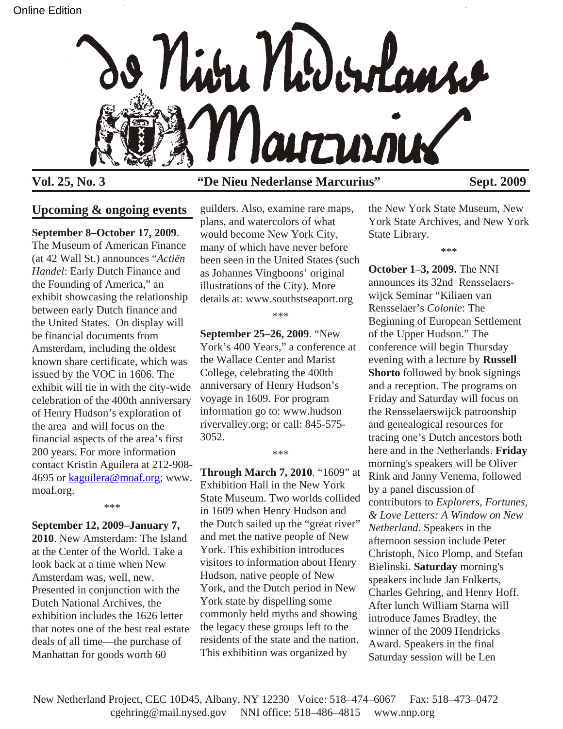

# **Vol. 25, No. 3 "De Nieu Nederlanse Marcurius" Sept. 2009**

# **Upcoming & ongoing events**

**September 8–October 17, 2009**.

The Museum of American Finance (at 42 Wall St.) announces "*Actiën Handel*: Early Dutch Finance and the Founding of America," an exhibit showcasing the relationship between early Dutch finance and the United States. On display will be financial documents from Amsterdam, including the oldest known share certificate, which was issued by the VOC in 1606. The exhibit will tie in with the city-wide celebration of the 400th anniversary of Henry Hudson's exploration of the area and will focus on the financial aspects of the area's first 200 years. For more information contact Kristin Aguilera at 212-908- 4695 or [kaguilera@moaf.org](mailto:kaguilera@moaf.org); www. moaf.org.

\*\*\*

**September 12, 2009–January 7, 2010**. New Amsterdam: The Island at the Center of the World. Take a look back at a time when New Amsterdam was, well, new. Presented in conjunction with the Dutch National Archives, the exhibition includes the 1626 letter that notes one of the best real estate deals of all time—the purchase of Manhattan for goods worth 60

guilders. Also, examine rare maps, plans, and watercolors of what would become New York City, many of which have never before been seen in the United States (such as Johannes Vingboons' original illustrations of the City). More details at: www.southstseaport.org

\*\*\*

**September 25–26, 2009**. "New York's 400 Years," a conference at the Wallace Center and Marist College, celebrating the 400th anniversary of Henry Hudson's voyage in 1609. For program information go to: www.hudson rivervalley.org; or call: 845-575- 3052.

\*\*\*

**Through March 7, 2010**. "1609" at Exhibition Hall in the New York State Museum. Two worlds collided in 1609 when Henry Hudson and the Dutch sailed up the "great river" and met the native people of New York. This exhibition introduces visitors to information about Henry Hudson, native people of New York, and the Dutch period in New York state by dispelling some commonly held myths and showing the legacy these groups left to the residents of the state and the nation. This exhibition was organized by

the New York State Museum, New York State Archives, and New York State Library.

\*\*\*

**October 1–3, 2009.** The NNI announces its 32nd Rensselaerswijck Seminar "Kiliaen van Rensselaer's *Colonie*: The Beginning of European Settlement of the Upper Hudson." The conference will begin Thursday evening with a lecture by **Russell Shorto** followed by book signings and a reception. The programs on Friday and Saturday will focus on the Rensselaerswijck patroonship and genealogical resources for tracing one's Dutch ancestors both here and in the Netherlands. **Friday**  morning's speakers will be Oliver Rink and Janny Venema, followed by a panel discussion of contributors to *Explorers, Fortunes, & Love Letters: A Window on New Netherland*. Speakers in the afternoon session include Peter Christoph, Nico Plomp, and Stefan Bielinski. **Saturday** morning's speakers include Jan Folkerts, Charles Gehring, and Henry Hoff. After lunch William Starna will introduce James Bradley, the winner of the 2009 Hendricks Award. Speakers in the final Saturday session will be Len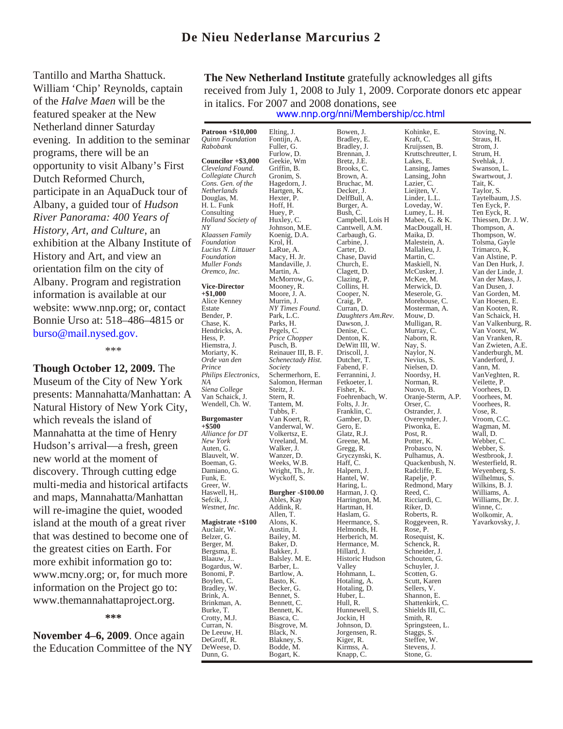Tantillo and Martha Shattuck. William 'Chip' Reynolds, captain of the *Halve Maen* will be the featured speaker at the New Netherland dinner Saturday evening. In addition to the seminar programs, there will be an opportunity to visit Albany's First Dutch Reformed Church, participate in an AquaDuck tour of Albany, a guided tour of *Hudson River Panorama: 400 Years of History, Art, and Culture*, an exhibition at the Albany Institute of History and Art, and view an orientation film on the city of Albany. Program and registration information is available at our website: www.nnp.org; or, contact Bonnie Urso at: 518–486–4815 or burso@mail.nysed.gov.

\*\*\*

**Though October 12, 2009.** The Museum of the City of New York presents: Mannahatta/Manhattan: A Natural History of New York City, which reveals the island of Mannahatta at the time of Henry Hudson's arrival—a fresh, green new world at the moment of discovery. Through cutting edge multi-media and historical artifacts and maps, Mannahatta/Manhattan will re-imagine the quiet, wooded island at the mouth of a great river that was destined to become one of the greatest cities on Earth. For more exhibit information go to: www.mcny.org; or, for much more information on the Project go to: www.themannahattaproject.org.

**\*\*\***

**November 4–6, 2009**. Once again the Education Committee of the NY

**The New Netherland Institute** gratefully acknowledges all gifts received from July 1, 2008 to July 1, 2009. Corporate donors etc appear in italics. For 2007 and 2008 donations, see

#### [www.nnp.org/nni/Membership/cc.html](http://www.nnp.org/nni/Membership/cc.html)

| <b>Patroon +\$10,000</b>               | Elting, J.                | Bowen, J.                       | Kohinke, E.                     | Stoving, N.                           |
|----------------------------------------|---------------------------|---------------------------------|---------------------------------|---------------------------------------|
| <i><b>Quinn Foundation</b></i>         | Fontijn, A.               | Bradley, E.                     | Kraft, C.                       | Straus, H.                            |
| Rabobank                               | Fuller, G.                | Bradley, J.                     | Kruijssen, B.                   | Strom, J.                             |
|                                        | Furlow, D.                | Brennan, J.                     | Kruttschreutter, I.             | Strum, H.                             |
| Councilor +\$3,000<br>Cleveland Found. | Geekie, Wm<br>Griffin, B. | Bretz, J.E.<br>Brooks, C.       | Lakes, E.<br>Lansing, James     | Svehlak, J.<br>Swanson, L.            |
| Collegiate Church                      | Gronim, S.                | Brown, A.                       | Lansing, John                   | Swartwout, J.                         |
| Cons. Gen. of the                      | Hagedorn, J.              | Bruchac, M.                     | Lazier, C.                      | Tait, K.                              |
| Netherlands                            | Hartgen, K.               | Decker, J.                      | Lieijten, V.                    | Taylor, S.                            |
| Douglas, M.                            | Hexter, P.                | DelfBull, A.                    | Linder, L.L.                    | Taytelbaum, J.S.                      |
| H. L. Funk                             | Hoff, H.                  | Burger, A.                      | Loveday, W.                     | Ten Eyck, P.                          |
| Consulting                             | Huey, P.                  | Bush, C.                        | Lumey, L. H.                    | Ten Eyck, R.                          |
| Holland Society of                     | Huxley, C.                | Campbell, Lois H                | Mabee, G. & K.                  | Thiessen, Dr. J. W.                   |
| ΝY                                     | Johnson, M.E.             | Cantwell, A.M.                  | MacDougall, H.                  | Thompson, A.                          |
| Klaassen Family<br>Foundation          | Koenig, D.A.              | Carbaugh, G.                    | Maika, D.<br>Malestein, A.      | Thompson, W.<br>Tolsma, Gayle         |
| Lucius N. Littauer                     | Krol, H.<br>LaRue, A.     | Carbine, J.<br>Carter, D.       | Mallalieu, J.                   | Trimarco, K.                          |
| Foundation                             | Macy, H. Jr.              | Chase, David                    | Martin, C.                      | Van Alstine, P.                       |
| Muller Fonds                           | Mandaville, J.            | Church, E.                      | Maskiell, N.                    | Van Den Hurk, J.                      |
| Oremco, Inc.                           | Martin, A.                | Clagett, D.                     | McCusker, J.                    | Van der Linde, J.                     |
|                                        | McMorrow, G.              | Clazing, P.                     | McKee, M.                       | Van der Mass, J.                      |
| <b>Vice-Director</b>                   | Mooney, R.                | Collins, H.                     | Merwick, D.                     | Van Dusen, J.                         |
| +\$1,000                               | Moore, J. A.              | Cooper, N.                      | Meserole, G.                    | Van Gorden, M.                        |
| Alice Kenney                           | Murrin, J.                | Craig, P.                       | Morehouse, C.                   | Van Hoesen, E.                        |
| Estate                                 | NY Times Found.           | Curran, D.                      | Mosterman, A.                   | Van Kooten, R.                        |
| Bender, P.<br>Chase, K.                | Park, L.C.<br>Parks, H.   | Daughters Am.Rev.<br>Dawson, J. | Mouw, D.<br>Mulligan, R.        | Van Schaick, H.<br>Van Valkenburg, R. |
| Hendricks, A.                          | Pegels, C.                | Denise, C.                      | Murray, C.                      | Van Voorst, W.                        |
| Hess, P.                               | Price Chopper             | Denton, K.                      | Naborn, R.                      | Van Vranken, R.                       |
| Hiemstra, J.                           | Pusch, B.                 | DeWitt III, W.                  | Nay, S.                         | Van Zwieten, A.E.                     |
| Moriarty, K.                           | Reinauer III, B. F.       | Driscoll, J.                    | Naylor, N.                      | Vanderburgh, M.                       |
| Orde van den                           | Schenectady Hist.         | Dutcher, T.                     | Nevius, S.                      | Vanderford, J.                        |
| Prince                                 | Society                   | Fabend, F.                      | Nielsen, D.                     | Vann, M.                              |
| Philips Electronics,                   | Schermerhorn, E.          | Ferrannini, J.                  | Noordsy, H.                     | Van Veghten, R.                       |
| NΑ                                     | Salomon, Herman           | Fetkoeter, I.                   | Norman, R.                      | Veilette, P.                          |
| Siena College<br>Van Schaick, J.       | Steitz, J.<br>Stern, R.   | Fisher, K.<br>Foehrenbach, W.   | Nuovo, B.<br>Oranje-Sterm, A.P. | Voorhees, D.<br>Voorhees, M.          |
| Wendell, Ch. W.                        | Tantem, M.                | Folts, J. Jr.                   | Orser, C.                       | Voorhees, R.                          |
|                                        | Tubbs, F.                 | Franklin, C.                    | Ostrander, J.                   | Vose, R.                              |
| Burgomaster                            | Van Koert, R.             | Gamber, D.                      | Overeynder, J.                  | Vroom, C.C.                           |
| +\$500                                 | Vanderwal, W.             | Gero, E.                        | Piwonka, E.                     | Wagman, M.                            |
| Alliance for DT                        | Volkertsz, E.             | Glatz, R.J.                     | Post, R.                        | Wall, D.                              |
| New York                               | Vreeland, M.              | Greene, M.                      | Potter, K.                      | Webber, C.                            |
| Auten, G.                              | Walker, J.                | Gregg, R.                       | Probasco, N.                    | Webber, S.                            |
| Blauvelt, W.<br>Boeman, G.             | Wanzer, D.<br>Weeks, W.B. | Gryczynski, K.<br>Haff, C.      | Pulhamus, A.<br>Quackenbush, N. | Westbrook, J.<br>Westerfield, R.      |
| Damiano, G.                            | Wright, Th., Jr.          | Halpern, J.                     | Radcliffe, E.                   | Weyenberg, S.                         |
| Funk, E.                               | Wyckoff, S.               | Hantel, W.                      | Rapelje, P.                     | Wilhelmus, S.                         |
| Greer, W.                              |                           | Haring, L.                      | Redmond, Mary                   | Wilkins, B. J.                        |
| Haswell, H,.                           | <b>Burgher</b> - \$100.00 | Harman, J. Q.                   | Reed, C.                        | Williams, A.                          |
| Sefcik, J.                             | Ables, Kay                | Harrington, M.                  | Ricciardi, C.                   | Williams, Dr. J.                      |
| Westnet, Inc.                          | Addink, R.                | Hartman, H.                     | Riker, D.                       | Winne, C.                             |
| <b>Magistrate +\$100</b>               | Allen, T.<br>Alons, K.    | Haslam, G.<br>Heermance, S.     | Roberts, R.<br>Roggeveen, R.    | Wolkomir, A.<br>Yavarkovsky, J.       |
| Auclair, W.                            | Austin, J.                | Helmonds, H.                    | Rose, P.                        |                                       |
| Belzer, G.                             | Bailey, M.                | Herberich, M.                   | Rosequist, K.                   |                                       |
| Berger, M.                             | Baker, D.                 | Hermance, M.                    | Schenck, R.                     |                                       |
| Bergsma, E.                            | Bakker, J.                | Hillard, J.                     | Schneider, J.                   |                                       |
| Blaauw, J                              | Balsley. M. E.            | Historic Hudson                 | Schouten, G.                    |                                       |
| Bogardus, W.                           | Barber, L.                | Valley                          | Schuyler, J.                    |                                       |
| Bonomi, P.                             | Bartlow, A.               | Hohmann, L.                     | Scotten, G.                     |                                       |
| Boylen, C.                             | Basto, K.                 | Hotaling, A.                    | Scutt, Karen                    |                                       |
| Bradley, W.<br>Brink, A.               | Becker, G.<br>Bennet, S.  | Hotaling, D.<br>Huber, L.       | Sellers, V.<br>Shannon, E.      |                                       |
| Brinkman, A.                           | Bennett, C.               | Hull, R.                        | Shattenkirk, C.                 |                                       |
| Burke, T.                              | Bennett, K.               | Hunnewell, S.                   | Shields III, C.                 |                                       |
| Crotty, M.J.                           | Biasca, C.                | Jockin, H                       | Smith, R.                       |                                       |
| Curran, N.                             | Bisgrove, M.              | Johnson, D.                     | Springsteen, L.                 |                                       |
| De Leeuw, H.                           | Black, N.                 | Jorgensen, R.                   | Staggs, S.                      |                                       |
| DeGroff, R.                            | Blakney, S.               | Kiger, R.                       | Steffee, W.                     |                                       |
| DeWeese, D.                            | Bodde, M.                 | Kirmss, A.                      | Stevens, J.                     |                                       |
| Dunn, G.                               | Bogart, K.                | Knapp, C.                       | Stone, G.                       |                                       |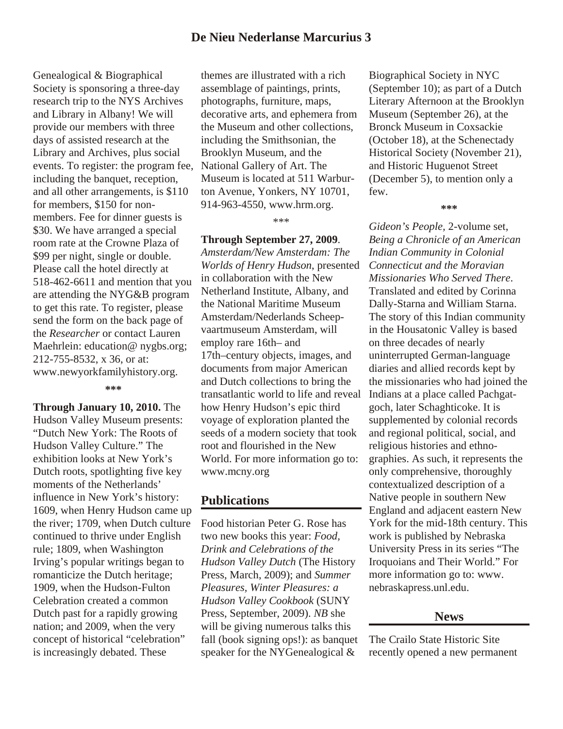# **De Nieu Nederlanse Marcurius 3**

Genealogical & Biographical Society is sponsoring a three-day research trip to the NYS Archives and Library in Albany! We will provide our members with three days of assisted research at the Library and Archives, plus social events. To register: the program fee, including the banquet, reception, and all other arrangements, is \$110 for members, \$150 for nonmembers. Fee for dinner guests is \$30. We have arranged a special room rate at the Crowne Plaza of \$99 per night, single or double. Please call the hotel directly at 518-462-6611 and mention that you are attending the NYG&B program to get this rate. To register, please send the form on the back page of the *Researcher* or contact Lauren Maehrlein: education@ nygbs.org; 212-755-8532, x 36, or at: www.newyorkfamilyhistory.org.

#### **\*\*\***

**Through January 10, 2010.** The Hudson Valley Museum presents: "Dutch New York: The Roots of Hudson Valley Culture." The exhibition looks at New York's Dutch roots, spotlighting five key moments of the Netherlands' influence in New York's history: 1609, when Henry Hudson came up the river; 1709, when Dutch culture continued to thrive under English rule; 1809, when Washington Irving's popular writings began to romanticize the Dutch heritage; 1909, when the Hudson-Fulton Celebration created a common Dutch past for a rapidly growing nation; and 2009, when the very concept of historical "celebration" is increasingly debated. These

themes are illustrated with a rich assemblage of paintings, prints, photographs, furniture, maps, decorative arts, and ephemera from the Museum and other collections, including the Smithsonian, the Brooklyn Museum, and the National Gallery of Art. The Museum is located at 511 Warburton Avenue, Yonkers, NY 10701, 914-963-4550, www.hrm.org.

\*\*\*

**Through September 27, 2009**. *Amsterdam/New Amsterdam: The Worlds of Henry Hudson*, presented in collaboration with the New Netherland Institute, Albany, and the National Maritime Museum Amsterdam/Nederlands Scheepvaartmuseum Amsterdam, will employ rare 16th– and 17th–century objects, images, and documents from major American and Dutch collections to bring the transatlantic world to life and reveal how Henry Hudson's epic third voyage of exploration planted the seeds of a modern society that took root and flourished in the New World. For more information go to: www.mcny.org

### **Publications**

Food historian Peter G. Rose has two new books this year: *Food, Drink and Celebrations of the Hudson Valley Dutch* (The History Press, March, 2009); and *Summer Pleasures, Winter Pleasures: a Hudson Valley Cookbook* (SUNY Press, September, 2009). *NB* she will be giving numerous talks this fall (book signing ops!): as banquet speaker for the NYGenealogical &

Biographical Society in NYC (September 10); as part of a Dutch Literary Afternoon at the Brooklyn Museum (September 26), at the Bronck Museum in Coxsackie (October 18), at the Schenectady Historical Society (November 21), and Historic Huguenot Street (December 5), to mention only a few.

**\*\*\***

*Gideon's People,* 2-volume set, *Being a Chronicle of an American Indian Community in Colonial Connecticut and the Moravian Missionaries Who Served There*. Translated and edited by Corinna Dally-Starna and William Starna. The story of this Indian community in the Housatonic Valley is based on three decades of nearly uninterrupted German-language diaries and allied records kept by the missionaries who had joined the Indians at a place called Pachgatgoch, later Schaghticoke. It is supplemented by colonial records and regional political, social, and religious histories and ethnographies. As such, it represents the only comprehensive, thoroughly contextualized description of a Native people in southern New England and adjacent eastern New York for the mid-18th century. This work is published by Nebraska University Press in its series "The Iroquoians and Their World." For more information go to: www. nebraskapress.unl.edu.

### **News**

The Crailo State Historic Site recently opened a new permanent